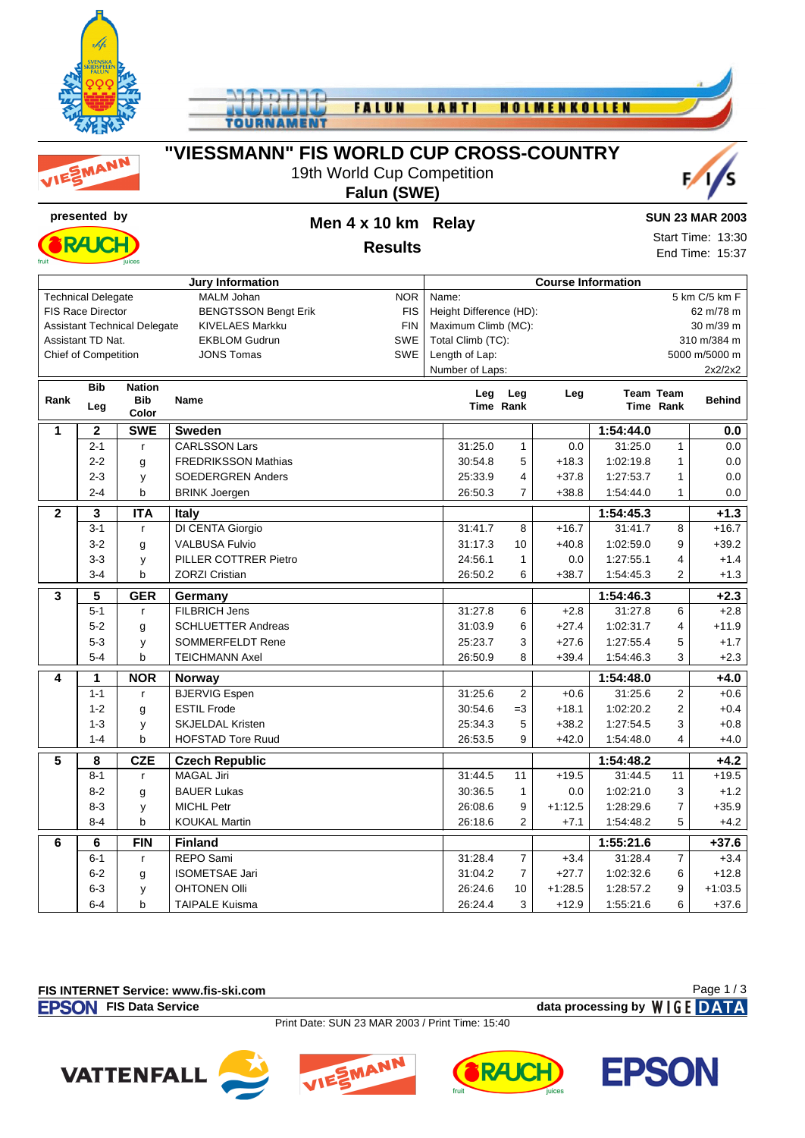





# **"VIESSMANN" FIS WORLD CUP CROSS-COUNTRY**



#### **Falun (SWE)**



# **Results**

#### **SUN 23 MAR 2003**

Start Time: 13:30 End Time: 15:37

| <b>Jury Information</b> |                             |                                     |                             |            | <b>Course Information</b>            |                |           |                  |                |               |  |  |
|-------------------------|-----------------------------|-------------------------------------|-----------------------------|------------|--------------------------------------|----------------|-----------|------------------|----------------|---------------|--|--|
|                         | <b>Technical Delegate</b>   |                                     | <b>MALM Johan</b>           | <b>NOR</b> | 5 km C/5 km F<br>Name:               |                |           |                  |                |               |  |  |
|                         | <b>FIS Race Director</b>    |                                     | <b>BENGTSSON Bengt Erik</b> | <b>FIS</b> | Height Difference (HD):<br>62 m/78 m |                |           |                  |                |               |  |  |
|                         |                             | <b>Assistant Technical Delegate</b> | <b>KIVELAES Markku</b>      | <b>FIN</b> | Maximum Climb (MC):<br>30 m/39 m     |                |           |                  |                |               |  |  |
|                         | Assistant TD Nat.           |                                     | <b>EKBLOM Gudrun</b>        | SWE        | 310 m/384 m<br>Total Climb (TC):     |                |           |                  |                |               |  |  |
|                         | <b>Chief of Competition</b> |                                     | <b>JONS Tomas</b>           | <b>SWE</b> | Length of Lap:<br>5000 m/5000 m      |                |           |                  |                |               |  |  |
|                         |                             |                                     |                             |            | Number of Laps:                      |                |           |                  |                | 2x2/2x2       |  |  |
|                         | <b>Bib</b>                  | <b>Nation</b>                       |                             |            | Leg                                  | Leg            | Leg       | <b>Team Team</b> |                |               |  |  |
| Rank                    | Leg                         | <b>Bib</b>                          | <b>Name</b>                 |            |                                      | Time Rank      |           |                  | Time Rank      | <b>Behind</b> |  |  |
|                         |                             | Color                               |                             |            |                                      |                |           |                  |                |               |  |  |
| 1                       | $\mathbf 2$                 | <b>SWE</b>                          | <b>Sweden</b>               |            |                                      |                |           | 1:54:44.0        |                | $0.0\,$       |  |  |
|                         | $2 - 1$                     | r                                   | <b>CARLSSON Lars</b>        |            | 31:25.0                              | $\mathbf{1}$   | 0.0       | 31:25.0          | $\mathbf{1}$   | 0.0           |  |  |
|                         | $2 - 2$                     | g                                   | <b>FREDRIKSSON Mathias</b>  |            | 30:54.8                              | 5              | $+18.3$   | 1:02:19.8        | 1              | 0.0           |  |  |
|                         | $2 - 3$                     | y                                   | <b>SOEDERGREN Anders</b>    |            | 25:33.9                              | 4              | $+37.8$   | 1:27:53.7        | 1              | 0.0           |  |  |
|                         | $2 - 4$                     | $\mathsf b$                         | <b>BRINK Joergen</b>        |            | 26:50.3                              | $\overline{7}$ | $+38.8$   | 1:54:44.0        | $\mathbf{1}$   | 0.0           |  |  |
| $\overline{2}$          | 3                           | <b>ITA</b>                          | <b>Italy</b>                |            |                                      |                |           | 1:54:45.3        |                | $+1.3$        |  |  |
|                         | $3 - 1$                     | $\mathsf{r}$                        | DI CENTA Giorgio            |            | 31:41.7                              | 8              | $+16.7$   | 31:41.7          | 8              | $+16.7$       |  |  |
|                         | $3 - 2$                     | g                                   | <b>VALBUSA Fulvio</b>       |            | 31:17.3                              | 10             | $+40.8$   | 1:02:59.0        | 9              | $+39.2$       |  |  |
|                         | $3 - 3$                     | y                                   | PILLER COTTRER Pietro       |            | 24:56.1                              | $\mathbf{1}$   | 0.0       | 1:27:55.1        | 4              | $+1.4$        |  |  |
|                         | $3 - 4$                     | b                                   | <b>ZORZI Cristian</b>       |            | 26:50.2                              | 6              | $+38.7$   | 1:54:45.3        | $\overline{2}$ | $+1.3$        |  |  |
| $\overline{\mathbf{3}}$ | 5                           | <b>GER</b>                          | Germany                     |            |                                      |                |           | 1:54:46.3        |                | $+2.3$        |  |  |
|                         | $5 - 1$                     | r.                                  | <b>FILBRICH Jens</b>        |            | 31:27.8                              | 6              | $+2.8$    | 31:27.8          | 6              | $+2.8$        |  |  |
|                         | $5 - 2$                     | g                                   | <b>SCHLUETTER Andreas</b>   |            | 31:03.9                              | 6              | $+27.4$   | 1:02:31.7        | 4              | $+11.9$       |  |  |
|                         | $5 - 3$                     | y                                   | <b>SOMMERFELDT Rene</b>     |            | 25:23.7                              | 3              | $+27.6$   | 1:27:55.4        | 5              | $+1.7$        |  |  |
|                         | $5 - 4$                     | $\mathbf b$                         | <b>TEICHMANN Axel</b>       |            | 26:50.9                              | 8              | $+39.4$   | 1:54:46.3        | 3              | $+2.3$        |  |  |
| 4                       | 1                           | <b>NOR</b>                          | Norway                      |            |                                      |                |           | 1:54:48.0        |                | $+4.0$        |  |  |
|                         | $1 - 1$                     | $\mathsf{r}$                        | <b>BJERVIG Espen</b>        |            | 31:25.6                              | $\overline{2}$ | $+0.6$    | 31:25.6          | $\overline{2}$ | $+0.6$        |  |  |
|                         | $1 - 2$                     | g                                   | <b>ESTIL Frode</b>          |            | 30:54.6                              | $=3$           | $+18.1$   | 1:02:20.2        | 2              | $+0.4$        |  |  |
|                         | $1 - 3$                     | y                                   | <b>SKJELDAL Kristen</b>     |            | 25:34.3                              | 5              | $+38.2$   | 1:27:54.5        | 3              | $+0.8$        |  |  |
|                         | $1 - 4$                     | b                                   | <b>HOFSTAD Tore Ruud</b>    |            | 26:53.5                              | 9              | $+42.0$   | 1:54:48.0        | $\overline{4}$ | $+4.0$        |  |  |
|                         |                             |                                     |                             |            |                                      |                |           |                  |                |               |  |  |
| 5                       | 8                           | <b>CZE</b>                          | <b>Czech Republic</b>       |            |                                      |                |           | 1:54:48.2        |                | $+4.2$        |  |  |
|                         | $8 - 1$                     | $\mathbf{r}$                        | <b>MAGAL Jiri</b>           |            | 31:44.5                              | 11             | $+19.5$   | 31:44.5          | 11             | $+19.5$       |  |  |
|                         | $8 - 2$                     | g                                   | <b>BAUER Lukas</b>          |            | 30:36.5                              | $\mathbf{1}$   | 0.0       | 1:02:21.0        | 3              | $+1.2$        |  |  |
|                         | $8-3$                       | y                                   | <b>MICHL Petr</b>           |            | 26:08.6                              | 9              | $+1:12.5$ | 1:28:29.6        | $\overline{7}$ | $+35.9$       |  |  |
|                         | $8 - 4$                     | b                                   | <b>KOUKAL Martin</b>        |            | 26:18.6                              | $\overline{2}$ | $+7.1$    | 1:54:48.2        | 5              | $+4.2$        |  |  |
| 6                       | 6                           | <b>FIN</b>                          | <b>Finland</b>              |            |                                      |                |           | 1:55:21.6        |                | $+37.6$       |  |  |
|                         | $6 - 1$                     | $\mathsf{r}$                        | <b>REPO Sami</b>            |            | 31:28.4                              | $\overline{7}$ | $+3.4$    | 31:28.4          | 7              | $+3.4$        |  |  |
|                         | $6 - 2$                     | g                                   | <b>ISOMETSAE Jari</b>       |            | 31:04.2                              | $\overline{7}$ | $+27.7$   | 1:02:32.6        | 6              | $+12.8$       |  |  |
|                         | $6 - 3$                     | y                                   | <b>OHTONEN Olli</b>         |            | 26:24.6                              | 10             | $+1:28.5$ | 1:28:57.2        | 9              | $+1:03.5$     |  |  |
|                         | $6 - 4$                     | b                                   | <b>TAIPALE Kuisma</b>       |            | 26:24.4                              | 3              | $+12.9$   | 1:55:21.6        | 6              | $+37.6$       |  |  |

#### **FIS INTERNET Service: www.fis-ski.com**

**FIS Data Service data processing by**  $W \mid G E$  **DATA** 

Page 1 / 3

Print Date: SUN 23 MAR 2003 / Print Time: 15:40







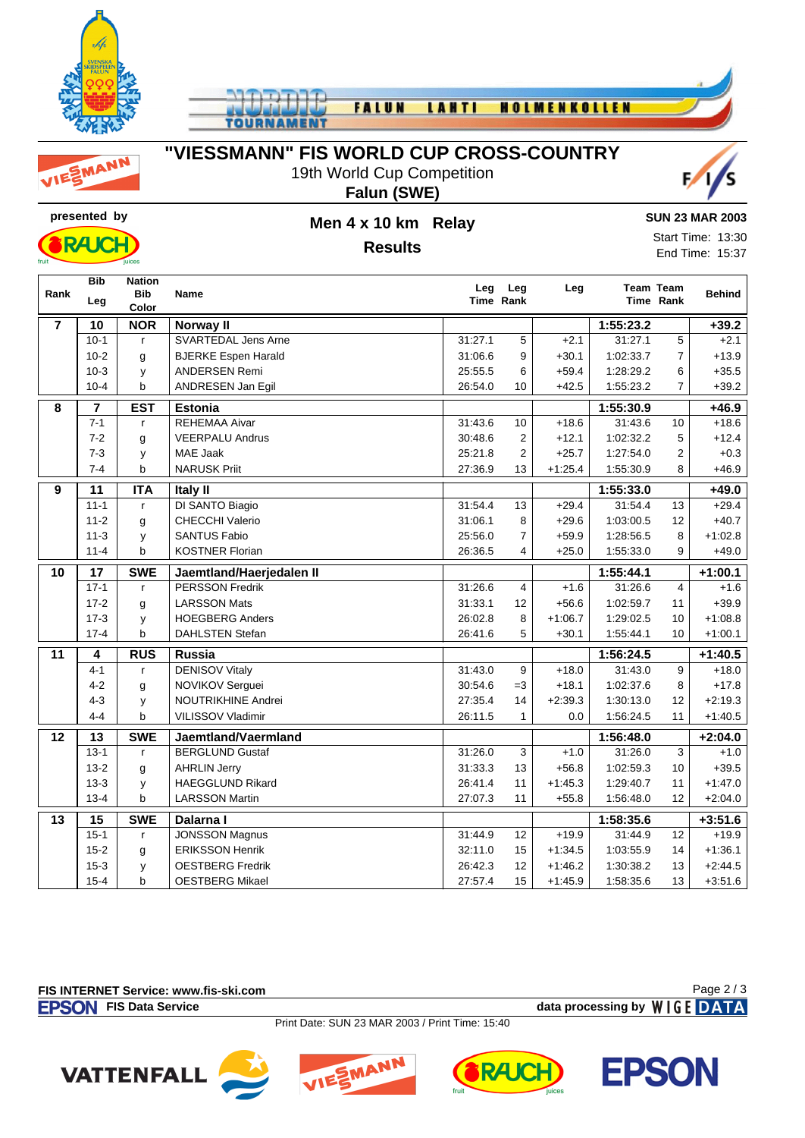

FALUN **LAHTI HOLMENKOLLEN TOUR** 

MANN

# **"VIESSMANN" FIS WORLD CUP CROSS-COUNTRY**

19th World Cup Competition **Falun (SWE)**





### **presented by Men 4 x 10 km Relay Results**

#### **SUN 23 MAR 2003**

Start Time: 13:30 End Time: 15:37

|                 | <b>Bib</b>              | <b>Nation</b>       |                            |         | Leg Leg        | Leg       | <b>Team Team</b> |                |               |
|-----------------|-------------------------|---------------------|----------------------------|---------|----------------|-----------|------------------|----------------|---------------|
| Rank            | Leg                     | <b>Bib</b><br>Color | <b>Name</b>                |         | Time Rank      |           |                  | Time Rank      | <b>Behind</b> |
| $\overline{7}$  | 10                      | <b>NOR</b>          | Norway II                  |         |                |           | 1:55:23.2        |                | $+39.2$       |
|                 | $10-1$                  | $\mathsf{r}$        | <b>SVARTEDAL Jens Arne</b> | 31:27.1 | 5              | $+2.1$    | 31:27.1          | 5              | $+2.1$        |
|                 | $10-2$                  | g                   | <b>BJERKE Espen Harald</b> | 31:06.6 | 9              | $+30.1$   | 1:02:33.7        | $\overline{7}$ | $+13.9$       |
|                 | $10-3$                  | у                   | <b>ANDERSEN Remi</b>       | 25:55.5 | 6              | $+59.4$   | 1:28:29.2        | 6              | $+35.5$       |
|                 | $10 - 4$                | b                   | ANDRESEN Jan Egil          | 26:54.0 | 10             | $+42.5$   | 1:55:23.2        | $\overline{7}$ | $+39.2$       |
| 8               | $\overline{\mathbf{7}}$ | <b>EST</b>          | <b>Estonia</b>             |         |                |           | 1:55:30.9        |                | $+46.9$       |
|                 | $7 - 1$                 | $\mathsf{r}$        | <b>REHEMAA Aivar</b>       | 31:43.6 | 10             | $+18.6$   | 31:43.6          | 10             | $+18.6$       |
|                 | $7 - 2$                 | g                   | <b>VEERPALU Andrus</b>     | 30:48.6 | $\overline{2}$ | $+12.1$   | 1:02:32.2        | $\mathbf 5$    | $+12.4$       |
|                 | $7 - 3$                 | y                   | MAE Jaak                   | 25:21.8 | $\overline{2}$ | $+25.7$   | 1:27:54.0        | $\overline{2}$ | $+0.3$        |
|                 | $7 - 4$                 | b                   | <b>NARUSK Priit</b>        | 27:36.9 | 13             | $+1:25.4$ | 1:55:30.9        | 8              | $+46.9$       |
| 9               | 11                      | <b>ITA</b>          | Italy II                   |         |                |           | 1:55:33.0        |                | $+49.0$       |
|                 | $11 - 1$                | r                   | DI SANTO Biagio            | 31:54.4 | 13             | $+29.4$   | 31:54.4          | 13             | $+29.4$       |
|                 | $11 - 2$                | g                   | <b>CHECCHI Valerio</b>     | 31:06.1 | 8              | $+29.6$   | 1:03:00.5        | 12             | $+40.7$       |
|                 | $11 - 3$                | y                   | <b>SANTUS Fabio</b>        | 25:56.0 | $\overline{7}$ | $+59.9$   | 1:28:56.5        | 8              | $+1:02.8$     |
|                 | $11 - 4$                | b                   | <b>KOSTNER Florian</b>     | 26:36.5 | $\overline{4}$ | $+25.0$   | 1:55:33.0        | 9              | $+49.0$       |
| 10              | $\overline{17}$         | <b>SWE</b>          | Jaemtland/Haerjedalen II   |         |                |           | 1:55:44.1        |                | $+1:00.1$     |
|                 | $17-1$                  | $\mathsf{r}$        | <b>PERSSON Fredrik</b>     | 31:26.6 | 4              | $+1.6$    | 31:26.6          | $\overline{4}$ | $+1.6$        |
|                 | $17-2$                  | g                   | <b>LARSSON Mats</b>        | 31:33.1 | 12             | $+56.6$   | 1:02:59.7        | 11             | $+39.9$       |
|                 | $17-3$                  | У                   | <b>HOEGBERG Anders</b>     | 26:02.8 | 8              | $+1:06.7$ | 1:29:02.5        | 10             | $+1:08.8$     |
|                 | $17 - 4$                | b                   | <b>DAHLSTEN Stefan</b>     | 26:41.6 | 5              | $+30.1$   | 1:55:44.1        | 10             | $+1:00.1$     |
| $\overline{11}$ | $\overline{4}$          | <b>RUS</b>          | <b>Russia</b>              |         |                |           | 1:56:24.5        |                | $+1:40.5$     |
|                 | $4 - 1$                 | $\mathsf{r}$        | <b>DENISOV Vitaly</b>      | 31:43.0 | 9              | $+18.0$   | 31:43.0          | 9              | $+18.0$       |
|                 | $4 - 2$                 | g                   | NOVIKOV Serguei            | 30:54.6 | $=3$           | $+18.1$   | 1:02:37.6        | 8              | $+17.8$       |
|                 | $4 - 3$                 | y                   | <b>NOUTRIKHINE Andrei</b>  | 27:35.4 | 14             | $+2:39.3$ | 1:30:13.0        | 12             | $+2:19.3$     |
|                 | $4 - 4$                 | $\mathsf{b}$        | VILISSOV Vladimir          | 26:11.5 | $\mathbf{1}$   | 0.0       | 1:56:24.5        | 11             | $+1:40.5$     |
| 12              | 13                      | <b>SWE</b>          | Jaemtland/Vaermland        |         |                |           | 1:56:48.0        |                | $+2:04.0$     |
|                 | $13-1$                  | $\mathsf{r}$        | <b>BERGLUND Gustaf</b>     | 31:26.0 | 3              | $+1.0$    | 31:26.0          | 3              | $+1.0$        |
|                 | $13 - 2$                | g                   | <b>AHRLIN Jerry</b>        | 31:33.3 | 13             | $+56.8$   | 1:02:59.3        | 10             | $+39.5$       |
|                 | $13 - 3$                | у                   | <b>HAEGGLUND Rikard</b>    | 26:41.4 | 11             | $+1.45.3$ | 1:29:40.7        | 11             | $+1:47.0$     |
|                 | $13 - 4$                | b                   | <b>LARSSON Martin</b>      | 27:07.3 | 11             | $+55.8$   | 1:56:48.0        | 12             | $+2:04.0$     |
| $\overline{13}$ | $\overline{15}$         | <b>SWE</b>          | Dalarna I                  |         |                |           | 1:58:35.6        |                | $+3:51.6$     |
|                 | $15 - 1$                | $\mathsf{r}$        | <b>JONSSON Magnus</b>      | 31:44.9 | 12             | $+19.9$   | 31:44.9          | 12             | $+19.9$       |
|                 | $15 - 2$                | g                   | <b>ERIKSSON Henrik</b>     | 32:11.0 | 15             | $+1.34.5$ | 1:03:55.9        | 14             | $+1:36.1$     |
|                 | $15 - 3$                | y                   | <b>OESTBERG Fredrik</b>    | 26:42.3 | 12             | $+1:46.2$ | 1:30:38.2        | 13             | $+2:44.5$     |
|                 | $15 - 4$                | $\mathbf b$         | <b>OESTBERG Mikael</b>     | 27:57.4 | 15             | $+1:45.9$ | 1:58:35.6        | 13             | $+3:51.6$     |

#### **FIS INTERNET Service: www.fis-ski.com**

**FIS Data Service data processing by**  $W \mid G E$  **DATA** 

Page 2 / 3

Print Date: SUN 23 MAR 2003 / Print Time: 15:40